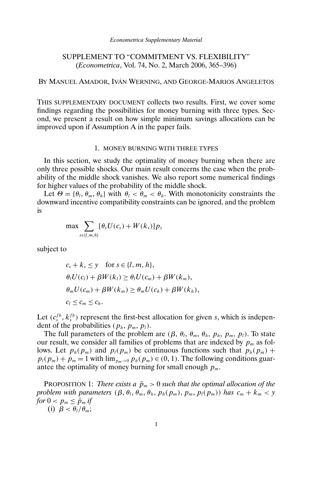# SUPPLEMENT TO "COMMITMENT VS. FLEXIBILITY" (*Econometrica*, Vol. 74, No. 2, March 2006, 365–396)

## BY MANUEL AMADOR, IVÁN WERNING, AND GEORGE-MARIOS ANGELETOS

THIS SUPPLEMENTARY DOCUMENT collects two results. First, we cover some findings regarding the possibilities for money burning with three types. Second, we present a result on how simple minimum savings allocations can be improved upon if Assumption A in the paper fails.

### 1. MONEY BURNING WITH THREE TYPES

In this section, we study the optimality of money burning when there are only three possible shocks. Our main result concerns the case when the probability of the middle shock vanishes. We also report some numerical findings for higher values of the probability of the middle shock.

Let  $\Theta = {\theta_l, \theta_m, \theta_h}$  with  $\theta_l < \theta_m < \theta_h$ . With monotonicity constraints the downward incentive compatibility constraints can be ignored, and the problem is

$$
\max \sum_{s \in \{l,m,h\}} [\theta_s U(c_s) + W(k_s)] p_s
$$

subject to

 $c_s + k_s \leq y$  for  $s \in \{l, m, h\},\$  $\theta_l U(c_l) + \beta W(k_l) \geq \theta_l U(c_m) + \beta W(k_m),$  $\theta_m U(c_m) + \beta W(k_m) \geq \theta_m U(c_h) + \beta W(k_h),$  $c_l \leq c_m \leq c_h$ .

Let  $(c_s^{fb}, k_s^{fb})$  represent the first-best allocation for given s, which is independent of the probabilities ( $p_h$ ,  $p_m$ ,  $p_l$ ).

The full parameters of the problem are  $(\beta, \theta_l, \theta_m, \theta_h, p_h, p_m, p_l)$ . To state our result, we consider all families of problems that are indexed by  $p_m$  as follows. Let  $p_h(p_m)$  and  $p_l(p_m)$  be continuous functions such that  $p_h(p_m)$  +  $p_l(p_m) + p_m = 1$  with  $\lim_{p_m \to 0} p_h(p_m) \in (0, 1)$ . The following conditions guarantee the optimality of money burning for small enough  $p_m$ .

PROPOSITION 1: *There exists a*  $\bar{p}_m > 0$  *such that the optimal allocation of the problem with parameters*  $(\beta, \theta_l, \theta_m, \theta_h, p_h(p_m), p_m, p_l(p_m))$  *has*  $c_m + k_m < y$ *for*  $0 < p_m \le \bar{p}_m$  *if* 

(i)  $\beta < \theta_l/\theta_m$ ;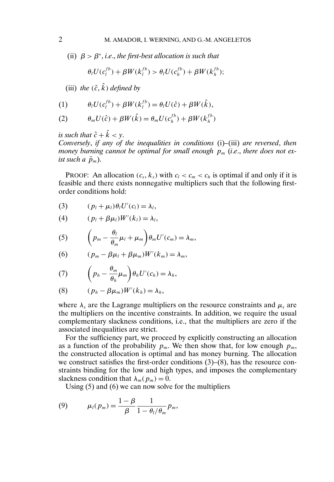(ii)  $\beta > \beta^*$ , *i.e.*, *the first-best allocation is such that* 

$$
\theta_l U(c_l^{fb}) + \beta W(k_l^{fb}) > \theta_l U(c_h^{fb}) + \beta W(k_h^{fb});
$$

(iii) *the*  $(\hat{c}, \hat{k})$  *defined by* 

$$
(1) \qquad \theta_l U(c_l^{fb}) + \beta W(k_l^{fb}) = \theta_l U(\hat{c}) + \beta W(\hat{k}),
$$

(2) 
$$
\theta_m U(\hat{c}) + \beta W(\hat{k}) = \theta_m U(c_h^{fb}) + \beta W(k_h^{fb})
$$

*is such that*  $\hat{c} + \hat{k} < y$ .

*Conversely*, *if any of the inequalities in conditions* (i)*–*(iii) *are reversed*, *then money burning cannot be optimal for small enough*  $p_m$  *(i.e., there does not exist such a*  $\bar{p}_m$ ).

**PROOF:** An allocation  $(c_s, k_s)$  with  $c_l < c_m < c_h$  is optimal if and only if it is feasible and there exists nonnegative multipliers such that the following firstorder conditions hold:

$$
(3) \qquad (p_l + \mu_l)\theta_l U'(c_l) = \lambda_l,
$$

$$
(4) \qquad (p_l + \beta \mu_l)W'(k_l) = \lambda_l,
$$

(5) 
$$
\left(p_m - \frac{\theta_l}{\theta_m}\mu_l + \mu_m\right)\theta_m U'(c_m) = \lambda_m,
$$

(6) 
$$
(p_m - \beta \mu_l + \beta \mu_m)W'(k_m) = \lambda_m,
$$

(7) 
$$
\left(p_h - \frac{\theta_m}{\theta_h} \mu_m\right) \theta_h U'(c_h) = \lambda_h,
$$

$$
(8) \qquad (p_h - \beta \mu_m)W'(k_h) = \lambda_h,
$$

where  $\lambda_s$  are the Lagrange multipliers on the resource constraints and  $\mu_s$  are the multipliers on the incentive constraints. In addition, we require the usual complementary slackness conditions, i.e., that the multipliers are zero if the associated inequalities are strict.

For the sufficiency part, we proceed by explicitly constructing an allocation as a function of the probability  $p_m$ . We then show that, for low enough  $p_m$ , the constructed allocation is optimal and has money burning. The allocation we construct satisfies the first-order conditions (3)–(8), has the resource constraints binding for the low and high types, and imposes the complementary slackness condition that  $\lambda_m(p_m) = 0$ .

Using (5) and (6) we can now solve for the multipliers

(9) 
$$
\mu_l(p_m) = \frac{1 - \beta}{\beta} \frac{1}{1 - \theta_l/\theta_m} p_m,
$$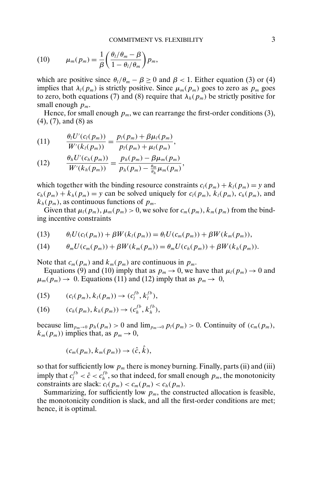(10) 
$$
\mu_m(p_m) = \frac{1}{\beta} \left( \frac{\theta_l/\theta_m - \beta}{1 - \theta_l/\theta_m} \right) p_m,
$$

which are positive since  $\theta_l/\theta_m - \beta \ge 0$  and  $\beta < 1$ . Either equation (3) or (4) implies that  $\lambda_l(p_m)$  is strictly positive. Since  $\mu_m(p_m)$  goes to zero as  $p_m$  goes to zero, both equations (7) and (8) require that  $\lambda_h(p_m)$  be strictly positive for small enough  $p_m$ .

Hence, for small enough  $p_m$ , we can rearrange the first-order conditions (3), (4), (7), and (8) as

(11) 
$$
\frac{\theta_l U'(c_l(p_m))}{W'(k_l(p_m))} = \frac{p_l(p_m) + \beta \mu_l(p_m)}{p_l(p_m) + \mu_l(p_m)},
$$

(12) 
$$
\frac{\theta_h U'(c_h(p_m))}{W'(k_h(p_m))} = \frac{p_h(p_m) - \beta \mu_m(p_m)}{p_h(p_m) - \frac{\theta_m}{\theta_h} \mu_m(p_m)},
$$

which together with the binding resource constraints  $c_l(p_m) + k_l(p_m) = y$  and  $c_h(p_m) + k_h(p_m) = y$  can be solved uniquely for  $c_l(p_m)$ ,  $k_l(p_m)$ ,  $c_h(p_m)$ , and  $k_h(p_m)$ , as continuous functions of  $p_m$ .

Given that  $\mu_l(p_m)$ ,  $\mu_m(p_m) > 0$ , we solve for  $c_m(p_m)$ ,  $k_m(p_m)$  from the binding incentive constraints

$$
(13) \qquad \theta_l U(c_l(p_m)) + \beta W(k_l(p_m)) = \theta_l U(c_m(p_m)) + \beta W(k_m(p_m)),
$$

$$
(14) \qquad \theta_m U(c_m(p_m)) + \beta W(k_m(p_m)) = \theta_m U(c_h(p_m)) + \beta W(k_h(p_m)).
$$

Note that  $c_m(p_m)$  and  $k_m(p_m)$  are continuous in  $p_m$ .

Equations (9) and (10) imply that as  $p_m \to 0$ , we have that  $\mu_l(p_m) \to 0$  and  $\mu_m(p_m) \to 0$ . Equations (11) and (12) imply that as  $p_m \to 0$ ,

(15) 
$$
(c_l(p_m), k_l(p_m)) \to (c_l^{fb}, k_l^{fb}),
$$

(16) 
$$
(c_h(p_m), k_h(p_m)) \to (c_h^{fb}, k_h^{fb}),
$$

because  $\lim_{p_m\to 0} p_h(p_m) > 0$  and  $\lim_{p_m\to 0} p_l(p_m) > 0$ . Continuity of  $(c_m(p_m))$ ,  $k_m(p_m)$ ) implies that, as  $p_m \to 0$ ,

$$
(c_m(p_m), k_m(p_m)) \to (\hat{c}, \hat{k}),
$$

so that for sufficiently low  $p_m$  there is money burning. Finally, parts (ii) and (iii) imply that  $c_l^{fb} < \hat{c} < c_h^{fb}$ , so that indeed, for small enough  $p_m$ , the monotonicity constraints are slack:  $c_l(p_m) < c_m(p_m) < c_h(p_m)$ .

Summarizing, for sufficiently low  $p_m$ , the constructed allocation is feasible, the monotonicity condition is slack, and all the first-order conditions are met; hence, it is optimal.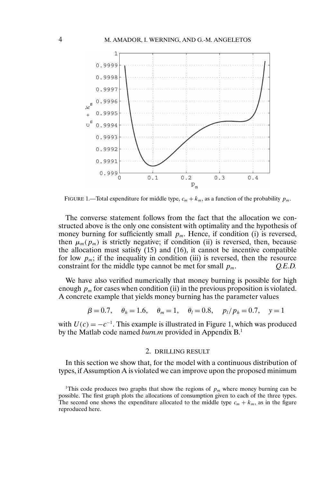

FIGURE 1.—Total expenditure for middle type,  $c_m + k_m$ , as a function of the probability  $p_m$ .

The converse statement follows from the fact that the allocation we constructed above is the only one consistent with optimality and the hypothesis of money burning for sufficiently small  $p_m$ . Hence, if condition (i) is reversed, then  $\mu_m(p_m)$  is strictly negative; if condition (ii) is reversed, then, because the allocation must satisfy (15) and (16), it cannot be incentive compatible for low  $p_m$ ; if the inequality in condition (iii) is reversed, then the resource constraint for the middle type cannot be met for small  $p_m$ .  $Q.E.D.$ 

We have also verified numerically that money burning is possible for high enough  $p_m$  for cases when condition (ii) in the previous proposition is violated. A concrete example that yields money burning has the parameter values

$$
\beta = 0.7
$$
,  $\theta_h = 1.6$ ,  $\theta_m = 1$ ,  $\theta_l = 0.8$ ,  $p_l/p_h = 0.7$ ,  $y = 1$ 

with  $U(c) = -c^{-1}$ . This example is illustrated in Figure 1, which was produced by the Matlab code named *burn.m* provided in Appendix B.1

### 2. DRILLING RESULT

In this section we show that, for the model with a continuous distribution of types, if Assumption A is violated we can improve upon the proposed minimum

<sup>&</sup>lt;sup>1</sup>This code produces two graphs that show the regions of  $p_m$  where money burning can be possible. The first graph plots the allocations of consumption given to each of the three types. The second one shows the expenditure allocated to the middle type  $c_m + k_m$ , as in the figure reproduced here.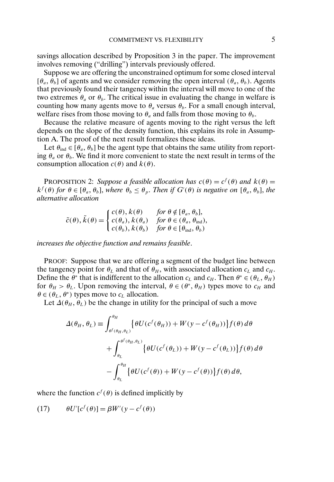savings allocation described by Proposition 3 in the paper. The improvement involves removing ("drilling") intervals previously offered.

Suppose we are offering the unconstrained optimum for some closed interval  $[\theta_a, \theta_b]$  of agents and we consider removing the open interval  $(\theta_a, \theta_b)$ . Agents that previously found their tangency within the interval will move to one of the two extremes  $\theta_a$  or  $\theta_b$ . The critical issue in evaluating the change in welfare is counting how many agents move to  $\theta_a$  versus  $\theta_b$ . For a small enough interval, welfare rises from those moving to  $\theta_a$  and falls from those moving to  $\theta_b$ .

Because the relative measure of agents moving to the right versus the left depends on the slope of the density function, this explains its role in Assumption A. The proof of the next result formalizes these ideas.

Let  $\theta_{ind} \in [\theta_a, \theta_b]$  be the agent type that obtains the same utility from reporting  $\theta_a$  or  $\theta_b$ . We find it more convenient to state the next result in terms of the consumption allocation  $c(\theta)$  and  $k(\theta)$ .

**PROPOSITION 2:** *Suppose a feasible allocation has*  $c(\theta) = c^f(\theta)$  *and*  $k(\theta) = c^f(\theta)$  $k^f(\theta)$  *for*  $\theta \in [\theta_a, \theta_b]$ , *where*  $\theta_b \le \theta_p$ . *Then if*  $G'(\theta)$  *is negative on*  $[\theta_a, \theta_b]$ , *the alternative allocation*

$$
\tilde{c}(\theta), \tilde{k}(\theta) = \begin{cases} c(\theta), k(\theta) & \text{for } \theta \notin [\theta_a, \theta_b], \\ c(\theta_a), k(\theta_a) & \text{for } \theta \in (\theta_a, \theta_{\text{ind}}), \\ c(\theta_b), k(\theta_b) & \text{for } \theta \in [\theta_{\text{ind}}, \theta_b) \end{cases}
$$

*increases the objective function and remains feasible*.

PROOF: Suppose that we are offering a segment of the budget line between the tangency point for  $\theta_L$  and that of  $\theta_H$ , with associated allocation  $c_L$  and  $c_H$ . Define the  $\theta^*$  that is indifferent to the allocation  $c<sub>L</sub>$  and  $c<sub>H</sub>$ . Then  $\theta^* \in (\theta_L, \theta_H)$ for  $\theta_H > \theta_L$ . Upon removing the interval,  $\theta \in (\theta^*, \theta_H)$  types move to  $c_H$  and  $\theta \in (\theta_L, \theta^*)$  types move to  $c_L$  allocation.

Let  $\Delta(\theta_H, \theta_L)$  be the change in utility for the principal of such a move

$$
\Delta(\theta_H, \theta_L) \equiv \int_{\theta^f(\theta_H, \theta_L)}^{\theta_H} \{ \theta U(c^f(\theta_H)) + W(y - c^f(\theta_H)) \} f(\theta) d\theta
$$

$$
+ \int_{\theta_L}^{\theta^f(\theta_H, \theta_L)} \{ \theta U(c^f(\theta_L)) + W(y - c^f(\theta_L)) \} f(\theta) d\theta
$$

$$
- \int_{\theta_L}^{\theta_H} \{ \theta U(c^f(\theta)) + W(y - c^f(\theta)) \} f(\theta) d\theta,
$$

where the function  $c^f(\theta)$  is defined implicitly by

(17)  $\theta U'[c^f(\theta)] = \beta W'(y - c^f(\theta))$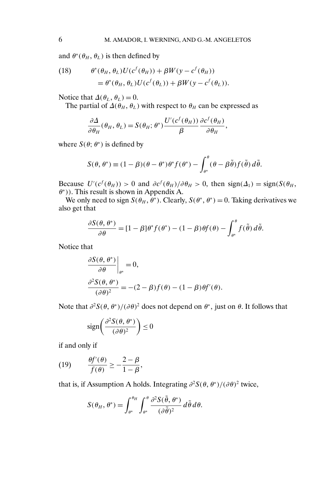and  $\theta^*(\theta_H, \theta_L)$  is then defined by

(18) 
$$
\theta^*(\theta_H, \theta_L)U(c^f(\theta_H)) + \beta W(y - c^f(\theta_H))
$$

$$
= \theta^*(\theta_H, \theta_L)U(c^f(\theta_L)) + \beta W(y - c^f(\theta_L)).
$$

Notice that  $\Delta(\theta_L, \theta_L) = 0$ .

The partial of  $\Delta(\theta_H, \theta_L)$  with respect to  $\theta_H$  can be expressed as

$$
\frac{\partial \Delta}{\partial \theta_H}(\theta_H, \theta_L) = S(\theta_H; \theta^*) \frac{U'(c^f(\theta_H))}{\beta} \frac{\partial c^f(\theta_H)}{\partial \theta_H},
$$

where  $S(\theta; \theta^*)$  is defined by

$$
S(\theta, \theta^*) \equiv (1 - \beta)(\theta - \theta^*)\theta^* f(\theta^*) - \int_{\theta^*}^{\theta} (\theta - \beta \tilde{\theta}) f(\tilde{\theta}) d\tilde{\theta}.
$$

Because  $U'(c^f(\theta_H)) > 0$  and  $\partial c^f(\theta_H)/\partial \theta_H > 0$ , then sign( $\Delta_1$ ) = sign( $S(\theta_H)$ , θ<sup>∗</sup>)). This result is shown in Appendix A.

We only need to sign  $S(\theta_H, \hat{\theta}^*)$ . Clearly,  $S(\theta^*, \theta^*) = 0$ . Taking derivatives we also get that

$$
\frac{\partial S(\theta, \theta^*)}{\partial \theta} = [1 - \beta] \theta^* f(\theta^*) - (1 - \beta) \theta f(\theta) - \int_{\theta^*}^{\theta} f(\tilde{\theta}) d\tilde{\theta}.
$$

Notice that

$$
\frac{\partial S(\theta, \theta^*)}{\partial \theta}\Big|_{\theta^*} = 0,
$$
  

$$
\frac{\partial^2 S(\theta, \theta^*)}{(\partial \theta)^2} = -(2 - \beta)f(\theta) - (1 - \beta)\theta f'(\theta).
$$

Note that  $\partial^2 S(\theta, \theta^*)/(\partial \theta)^2$  does not depend on  $\theta^*$ , just on  $\theta$ . It follows that

$$
\text{sign}\left(\frac{\partial^2 S(\theta, \theta^*)}{(\partial \theta)^2}\right) \le 0
$$

if and only if

(19) 
$$
\frac{\theta f'(\theta)}{f(\theta)} \geq -\frac{2-\beta}{1-\beta},
$$

that is, if Assumption A holds. Integrating  $\partial^2 S(\theta, \theta^*)/(\partial \theta)^2$  twice,

$$
S(\theta_H, \theta^*) = \int_{\theta^*}^{\theta_H} \int_{\theta^*}^{\theta} \frac{\partial^2 S(\tilde{\theta}, \theta^*)}{(\partial \tilde{\theta})^2} d\tilde{\theta} d\theta.
$$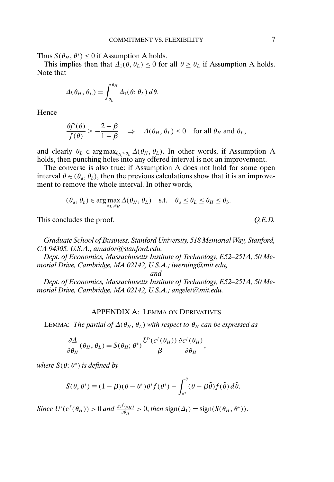Thus  $S(\theta_H, \theta^*) \leq 0$  if Assumption A holds.

This implies then that  $\Delta_1(\theta, \theta_L) \leq 0$  for all  $\theta \geq \theta_L$  if Assumption A holds. Note that

$$
\Delta(\theta_H, \theta_L) = \int_{\theta_L}^{\theta_H} \Delta_1(\theta; \theta_L) d\theta.
$$

Hence

$$
\frac{\theta f'(\theta)}{f(\theta)} \ge -\frac{2-\beta}{1-\beta} \quad \Rightarrow \quad \Delta(\theta_H, \theta_L) \le 0 \quad \text{for all } \theta_H \text{ and } \theta_L,
$$

and clearly  $\theta_L \in \arg \max_{\theta_H > \theta_L} \Delta(\theta_H, \theta_L)$ . In other words, if Assumption A holds, then punching holes into any offered interval is not an improvement.

The converse is also true: if Assumption A does not hold for some open interval  $\theta \in (\theta_a, \theta_b)$ , then the previous calculations show that it is an improvement to remove the whole interval. In other words,

$$
(\theta_a, \theta_b) \in \arg \max_{\theta_L, \theta_H} \Delta(\theta_H, \theta_L)
$$
 s.t.  $\theta_a \le \theta_L \le \theta_H \le \theta_b$ .

This concludes the proof.  $Q.E.D.$ 

*Graduate School of Business, Stanford University, 518 Memorial Way, Stanford, CA 94305, U.S.A.; amador@stanford.edu,*

*Dept. of Economics, Massachusetts Institute of Technology, E52–251A, 50 Memorial Drive, Cambridge, MA 02142, U.S.A.; iwerning@mit.edu,*

*and*

*Dept. of Economics, Massachusetts Institute of Technology, E52–251A, 50 Memorial Drive, Cambridge, MA 02142, U.S.A.; angelet@mit.edu.*

## APPENDIX A: LEMMA ON DERIVATIVES

LEMMA: *The partial of*  $\Delta(\theta_H, \theta_L)$  *with respect to*  $\theta_H$  *can be expressed as* 

$$
\frac{\partial \Delta}{\partial \theta_H}(\theta_H, \theta_L) = S(\theta_H; \theta^*) \frac{U'(c^f(\theta_H))}{\beta} \frac{\partial c^f(\theta_H)}{\partial \theta_H},
$$

*where*  $S(\theta; \theta^*)$  *is defined by* 

$$
S(\theta, \theta^*) \equiv (1 - \beta)(\theta - \theta^*)\theta^* f(\theta^*) - \int_{\theta^*}^{\theta} (\theta - \beta \tilde{\theta}) f(\tilde{\theta}) d\tilde{\theta}.
$$

*Since*  $U'(c^f(\theta_H)) > 0$  *and*  $\frac{\partial c^f(\theta_H)}{\partial \theta_H} > 0$ , *then* sign( $\Delta_1$ ) = sign( $S(\theta_H, \theta^*)$ ).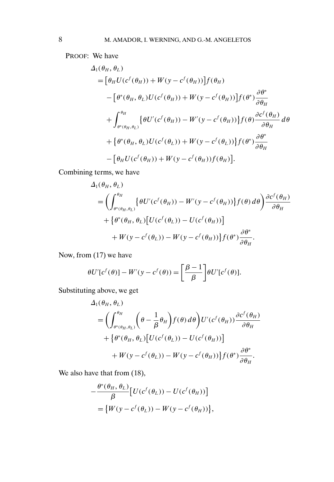PROOF: We have

$$
\Delta_1(\theta_H, \theta_L)
$$
\n
$$
= [\theta_H U(c^f(\theta_H)) + W(y - c^f(\theta_H))]f(\theta_H)
$$
\n
$$
- [\theta^*(\theta_H, \theta_L)U(c^f(\theta_H)) + W(y - c^f(\theta_H))]f(\theta^*)\frac{\partial \theta^*}{\partial \theta_H}
$$
\n
$$
+ \int_{\theta^*(\theta_H, \theta_L)}^{\theta_H} {\theta U'(c^f(\theta_H)) - W'(y - c^f(\theta_H))}f(\theta)\frac{\partial c^f(\theta_H)}{\partial \theta_H} d\theta
$$
\n
$$
+ {\theta^*(\theta_H, \theta_L)U(c^f(\theta_L)) + W(y - c^f(\theta_L))}f(\theta^*)\frac{\partial \theta^*}{\partial \theta_H}
$$
\n
$$
- [\theta_H U(c^f(\theta_H)) + W(y - c^f(\theta_H))f(\theta_H)].
$$

Combining terms, we have

$$
\Delta_1(\theta_H, \theta_L)
$$
\n
$$
= \left( \int_{\theta^*(\theta_H, \theta_L)}^{\theta_H} \left\{ \theta U'(c^f(\theta_H)) - W'(y - c^f(\theta_H)) \right\} f(\theta) d\theta \right) \frac{\partial c^f(\theta_H)}{\partial \theta_H} + \left\{ \theta^*(\theta_H, \theta_L) \left[ U(c^f(\theta_L)) - U(c^f(\theta_H)) \right] \right\} + W(y - c^f(\theta_L)) - W(y - c^f(\theta_H)) \left\{ f(\theta^*) \frac{\partial \theta^*}{\partial \theta_H} \right\}.
$$

Now, from (17) we have

$$
\theta U'[c^f(\theta)] - W'(y - c^f(\theta)) = \left[\frac{\beta - 1}{\beta}\right] \theta U'[c^f(\theta)].
$$

Substituting above, we get

$$
\Delta_1(\theta_H, \theta_L)
$$
\n
$$
= \left( \int_{\theta^*(\theta_H, \theta_L)}^{\theta_H} \left( \theta - \frac{1}{\beta} \theta_H \right) f(\theta) d\theta \right) U'(c^f(\theta_H)) \frac{\partial c^f(\theta_H)}{\partial \theta_H} + \left\{ \theta^*(\theta_H, \theta_L) \left[ U(c^f(\theta_L)) - U(c^f(\theta_H)) \right] \right\} + W(y - c^f(\theta_L)) - W(y - c^f(\theta_H)) \left\{ f(\theta^*) \frac{\partial \theta^*}{\partial \theta_H} \right\}.
$$

We also have that from  $(18)$ ,

$$
-\frac{\theta^*(\theta_H, \theta_L)}{\beta} [U(c^f(\theta_L)) - U(c^f(\theta_H))]
$$
  
=  $\{W(y - c^f(\theta_L)) - W(y - c^f(\theta_H))\},\$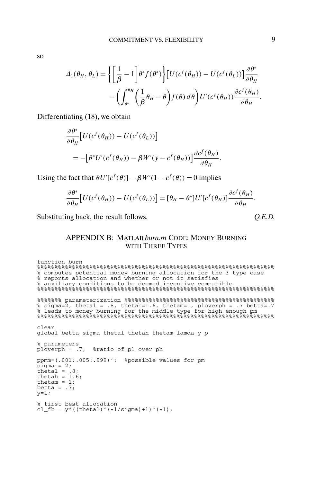so

$$
\Delta_1(\theta_H, \theta_L) = \left\{ \left[ \frac{1}{\beta} - 1 \right] \theta^* f(\theta^*) \right\} \left[ U(c^f(\theta_H)) - U(c^f(\theta_L)) \right] \frac{\partial \theta^*}{\partial \theta_H}
$$

$$
- \left( \int_{\theta^*}^{\theta_H} \left( \frac{1}{\beta} \theta_H - \theta \right) f(\theta) d\theta \right) U'(c^f(\theta_H)) \frac{\partial c^f(\theta_H)}{\partial \theta_H}.
$$

Differentiating (18), we obtain

$$
\frac{\partial \theta^*}{\partial \theta_H} \Big[ U(c^f(\theta_H)) - U(c^f(\theta_L)) \Big] \n= -\Big[ \theta^* U'(c^f(\theta_H)) - \beta W'(y - c^f(\theta_H)) \Big] \frac{\partial c^f(\theta_H)}{\partial \theta_H}.
$$

Using the fact that  $\theta U'[c^f(\theta)] - \beta W'(1 - c^f(\theta)) = 0$  implies

$$
\frac{\partial \theta^*}{\partial \theta_H} \Big[ U(c^f(\theta_H)) - U(c^f(\theta_L)) \Big] = [\theta_H - \theta^*] U'[c^f(\theta_H)] \frac{\partial c^f(\theta_H)}{\partial \theta_H}.
$$

Substituting back, the result follows.  $Q.E.D.$ 

# APPENDIX B: MATLAB *burn.m* CODE: MONEY BURNING WITH THREE TYPES

```
function burn
%%%%%%%%%%%%%%%%%%%%%%%%%%%%%%%%%%%%%%%%%%%%%%%%%%%%%%%%%%%%%%%%%%%%
% computes potential money burning allocation for the 3 type case
% reports allocation and whether or not it satisfies
% auxiliary conditions to be deemed incentive compatible
%%%%%%%%%%%%%%%%%%%%%%%%%%%%%%%%%%%%%%%%%%%%%%%%%%%%%%%%%%%%%%%%%%%%
%%%%%%% parameterization %%%%%%%%%%%%%%%%%%%%%%%%%%%%%%%%%%%%%%%%%%%
% sigma=2, thetal = .8, thetah=1.6, thetam=1, ploverph = .7 betta=.7
% leads to money burning for the middle type for high enough pm
%%%%%%%%%%%%%%%%%%%%%%%%%%%%%%%%%%%%%%%%%%%%%%%%%%%%%%%%%%%%%%%%%%%%
clear
global betta sigma thetal thetah thetam lamda y p
% parameters
ploverph = .7; %ratio of pl over ph
ppmm=(.001:.005:.999)'; %possible values for pm
sigma = 2;thetal = .8;
thetah = 1.6;
thetam = 1;
betta = .7;y=1;% first best allocation
cl_fb = y*(((thetal)^(-1/sigma)+1)^(-1);
```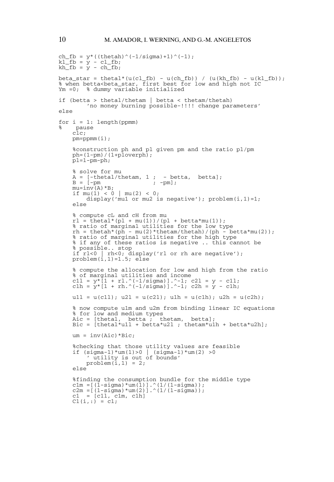```
ch_fb = y*( ((thetah)^(-1/sigma)+1)^(-1);
kl_fb = y - cl_fb;<br>kh_fb = y - ch_fb;beta_star = thetal*(u(cl_fb) - u(ch_fb)) / (u(kh_fb) - u(kl_fb));
% when betta<beta_star, first best for low and high not IC
Ym =0; % dummy variable initialized
if (betta > thetal/thetam | betta < thetam/thetah)
          'no money burning possible-!!!! change parameters'
else
for i = 1: length(ppmm)
% pause
     clc;
    pm=ppmm(i);
     %construction ph and pl given pm and the ratio pl/pm
    ph=(1-pm)/(1+p\bar{1}overph);p1=1-pm-ph;% solve for mu
    A = [-\text{theta1}/\text{thetam}, 1; - \text{beta}, \text{beta}];<br>B = [-\text{pm} \quad ; -\text{pm}];B = [-pm]mu=inv(A)*B;if mu(1) < 0 | mu(2) < 0;
         display('mul or mul is negative'); problem(i, 1)=1;
     else
     % compute cL and cH from mu
    r1 = \text{t}heta1*(p1 + mu(1))/(p1 + \text{b}tta*mu(1));% ratio of marginal utilities for the low type
    rh = \text{thetah*}(ph - mu(2)*\text{thetam/theta})/(ph - \text{hetam/2});
     % ratio of marginal utilities for the high type
     % if any of these ratios is negative .. this cannot be
     % possible.. stop
     if rl<0 | rh<0; display('rl or rh are negative');
problem(i,1)=1.5; else
     % compute the allocation for low and high from the ratio
% of marginal utilities and income
     c1l = y*[1 + rl.^(-1/sigma)].^-1; c2l=y- c1l;
c1h = y*[1 + rh.^(-1/sigma)].^-1; c2h=y- c1h;
    u1l = u(c11); u2l = u(c21); u1h = u(c1h); u2h = u(c2h);
     % now compute u1m and u2m from binding linear IC equations
     % for low and medium types
    Aic = [thetal, betta ; thetam, betta];
    Bic = [theta^*u11 + \text{beta*}u21 ; \text{theta*}u1h + \text{beta*}u2h];um = inv(Aic)*Bic;%checking that those utility values are feasible
     if (sigma-1) *um(1) > 0 | (sigma-1) *um(2) > 0' utility is out of bounds'
problem(i,1) = 2;
     else
     %finding the consumption bundle for the middle type
     c1m =[(1-sigma)*um(1)].^(1/(1-sigma));
c2m =[(1-sigma)*um(2)].^(1/(1-sigma));
    c1 = [c11, c1m, c1h]C1(i,:) = c1;
```